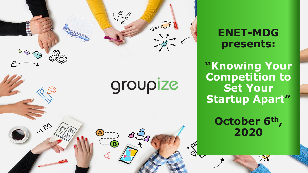

**ENET-MDG presents:**

**"Knowing Your Competition to Set Your Startup Apart"**

> **October 6th , 2020**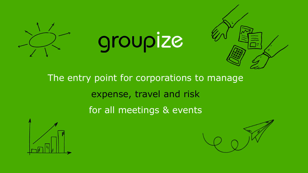





The entry point for corporations to manage expense, travel and risk for all meetings & events



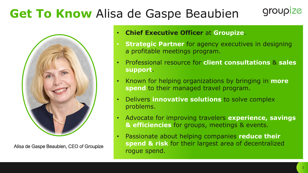## **Get To Know** Alisa de Gaspe Beaubien



Alisa de Gaspe Beaubien, CEO of Groupize

#### • **Chief Executive Officer** at **Groupize**.

- **Strategic Partner** for agency executives in designing a profitable meetings program.
- Professional resource for **client consultations** & **sales support**.
- Known for helping organizations by bringing in **more spend** to their managed travel program.
- Delivers **innovative solutions** to solve complex problems.
- Advocate for improving travelers **experience, savings & efficiencies** for groups, meetings & events.
- Passionate about helping companies **reduce their spend & risk** for their largest area of decentralized rogue spend.

groupize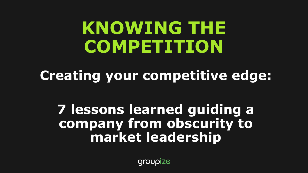# **KNOWING THE COMPETITION**

**Creating your competitive edge:** 

# **7 lessons learned guiding a company from obscurity to market leadership**

groupize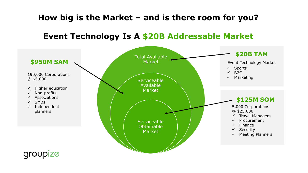### **How big is the Market – and is there room for you?**

#### **Event Technology Is A \$20B Addressable Market**

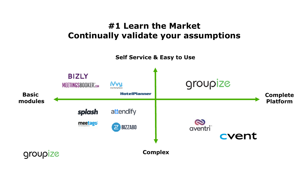#### **#1 Learn the Market Continually validate your assumptions**

**Self Service & Easy to Use**

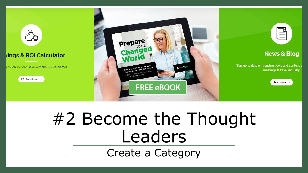

# #2 Become the Thought Leaders Create a Category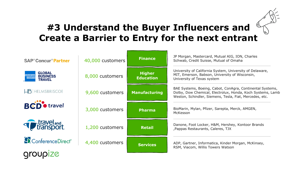### **#3 Understand the Buyer Influencers and Create a Barrier to Entry for the next entrant**

| <b>SAP<sup>®</sup> Concur<sup>®</sup> Partner</b>                               | 40,000 customers | <b>Finance</b>                    | JP Morgan, Mastercard, Mutual AIG, ION, Charles<br>Schwab, Credit Suisse, Mutual of Omaha                                                                                          |  |
|---------------------------------------------------------------------------------|------------------|-----------------------------------|------------------------------------------------------------------------------------------------------------------------------------------------------------------------------------|--|
| <b>GLOBAL</b><br><b>AMERICAN</b><br>EXPRESS<br><b>BUSINESS</b><br><b>TRAVEL</b> | 8,000 customers  | <b>Higher</b><br><b>Education</b> | University of California System, University of Delaware,<br>MIT, Emerson, Babson, University of Wisconsin,<br>University of Texas system                                           |  |
| HELMSBRISCOE                                                                    | 9,600 customers  | <b>Manufacturing</b>              | BAE Systems, Boeing, Cabot, ConAgra, Continental Systems,<br>Dolby, Dow Chemical, Electrolux, Honda, Koch Systems, Lamb<br>Weston, Schindler, Siemens, Tesla, Fiat, Mercedes, etc. |  |
| <b>BCD</b> <sup>o</sup> travel                                                  | 3,000 customers  | <b>Pharma</b>                     | BioMarin, Mylan, Pfizer, Sarepta, Merck, AMGEN,<br>McKesson                                                                                                                        |  |
| <b>The Contract Propert</b>                                                     | 1,200 customers  | <b>Retail</b>                     | Danone, Foot Locker, H&M, Hershey, Kontoor Brands<br>, Pappas Restaurants, Caleres, TJX                                                                                            |  |
| <b>ConferenceDirect</b> ®                                                       | 4,400 customers  | <b>Services</b>                   | ADP, Gartner, Informatica, Kinder Morgan, McKinsey,<br>RSM, Viacom, Willis Towers Watson                                                                                           |  |
| <b>Group</b>                                                                    |                  |                                   |                                                                                                                                                                                    |  |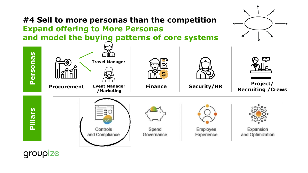

groupize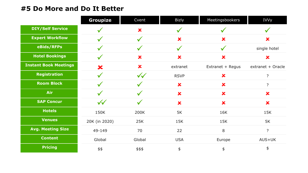#### **#5 Do More and Do It Better**

|                              | <b>Groupize</b>    | Cvent              | <b>Bizly</b>              | Meetingsbookers         | <b>IVVy</b>               |
|------------------------------|--------------------|--------------------|---------------------------|-------------------------|---------------------------|
| <b>DIY/Self Service</b>      |                    | $\bm{x}$           |                           |                         |                           |
| <b>Expert Workflow</b>       | $\checkmark$       | $\checkmark$       | $\bm{x}$                  | $\overline{\mathbf{x}}$ | $\boldsymbol{\mathsf{x}}$ |
| eBids/RFPs                   | $\checkmark$       | $\sqrt{}$          | $\checkmark$              | $\checkmark$            | single hotel              |
| <b>Hotel Bookings</b>        | $\checkmark$       | $\bm{x}$           | $\bm{x}$                  | $\bm{x}$                | $\bm{x}$                  |
| <b>Instant Book Meetings</b> | $\bm{x}$           | $\bm{x}$           | extranet                  | Extranet + Regus        | extranet + Oracle         |
| <b>Registration</b>          | $\checkmark$       | $\sqrt{\sqrt{\ }}$ | <b>RSVP</b>               | $\overline{\textbf{x}}$ | $\overline{?}$            |
| <b>Room Block</b>            |                    |                    | $\bm{x}$                  | $\bm{x}$                | $\overline{?}$            |
| Air                          |                    |                    | $\mathbf x$               | $\overline{\textbf{x}}$ | $\overline{\textbf{x}}$   |
| <b>SAP Concur</b>            | $\sqrt{\sqrt{\ }}$ |                    | $\boldsymbol{\mathsf{x}}$ | $\bm{x}$                | $\boldsymbol{\mathsf{x}}$ |
| <b>Hotels</b>                | 150K               | 200K               | 5K                        | 16K                     | 15K                       |
| <b>Venues</b>                | 20K (in 2020)      | 25K                | 15K                       | 15K                     | 5K                        |
| <b>Avg. Meeting Size</b>     | 49-149             | 70                 | 22                        | 8                       | $\overline{?}$            |
| <b>Content</b>               | Global             | Global             | <b>USA</b>                | Europe                  | AUS+UK                    |
| <b>Pricing</b>               | \$\$               | \$\$\$             | $\spadesuit$              | \$                      | \$                        |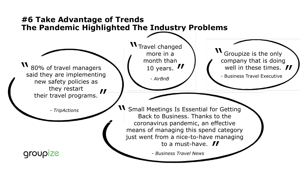#### **#6 Take Advantage of Trends The Pandemic Highlighted The Industry Problems**

80% of travel managers said they are implementing new safety policies as they restart their travel programs. **\\**<br>s  $\boldsymbol{\mathit{II}}$ 

*- TripActions*

groupize

Travel changed more in a month than 10 years.  $\boldsymbol{H}$ <br>- AirBnB \\<br>\

*- AirBnB*

Groupize is the only company that is doing well in these times. **II**<br>- Business Travel Executive י<br>ס

**II** Small Meetings Is Essential for Getting<br>Back to Business. Thanks to the Back to Business. Thanks to the coronavirus pandemic, an effective means of managing this spend category just went from a nice-to-have managing to a must-have. II<br>siness Travel News

*- Business Travel News*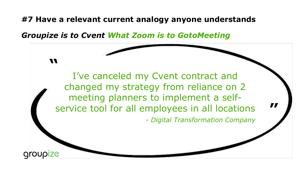**#7 Have a relevant current analogy anyone understands**

*Groupize is to Cvent What Zoom is to GotoMeeting*

I've canceled my Cvent contract and changed my strategy from reliance on 2 meeting planners to implement a selfservice tool for all employees in all locations - *Digital Transformation Company*

**"**

**Groupize** 

**"**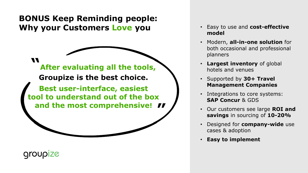### **BONUS Keep Reminding people: Why your Customers Love you**

**"**

**After evaluating all the tools, Groupize is the best choice. Best user-interface, easiest tool to understand out of the box** 

**and the most comprehensive! "**

**Groupize** 

- Easy to use and **cost-effective model**
- Modern, **all-in-one solution** for both occasional and professional planners
- **Largest inventory** of global hotels and venues
- Supported by **30+ Travel Management Companies**
- Integrations to core systems: **SAP Concur** & GDS
- Our customers see large **ROI and savings** in sourcing of **10-20%**
- Designed for **company-wide** use cases & adoption
- **Easy to implement**